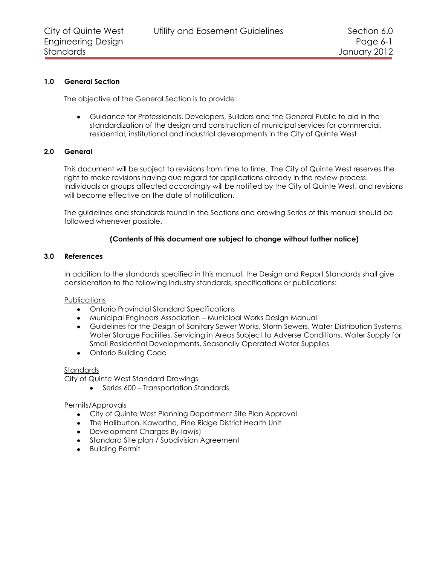## **1.0 General Section**

The objective of the General Section is to provide:

Guidance for Professionals, Developers, Builders and the General Public to aid in the standardization of the design and construction of municipal services for commercial, residential, institutional and industrial developments in the City of Quinte West

## **2.0 General**

This document will be subject to revisions from time to time. The City of Quinte West reserves the right to make revisions having due regard for applications already in the review process. Individuals or groups affected accordingly will be notified by the City of Quinte West, and revisions will become effective on the date of notification.

The guidelines and standards found in the Sections and drawing Series of this manual should be followed whenever possible.

## **(Contents of this document are subject to change without further notice)**

#### **3.0 References**

In addition to the standards specified in this manual, the Design and Report Standards shall give consideration to the following industry standards, specifications or publications:

## **Publications**

- Ontario Provincial Standard Specifications
- Municipal Engineers Association Municipal Works Design Manual
- Guidelines for the Design of Sanitary Sewer Works, Storm Sewers, Water Distribution Systems, Water Storage Facilities, Servicing in Areas Subject to Adverse Conditions, Water Supply for Small Residential Developments, Seasonally Operated Water Supplies
- Ontario Building Code

#### Standards

City of Quinte West Standard Drawings

• Series 600 – Transportation Standards

## Permits/Approvals

- City of Quinte West Planning Department Site Plan Approval
- The Haliburton, Kawartha, Pine Ridge District Health Unit
- Development Charges By-law(s)
- **Standard Site plan / Subdivision Agreement**
- Building Permit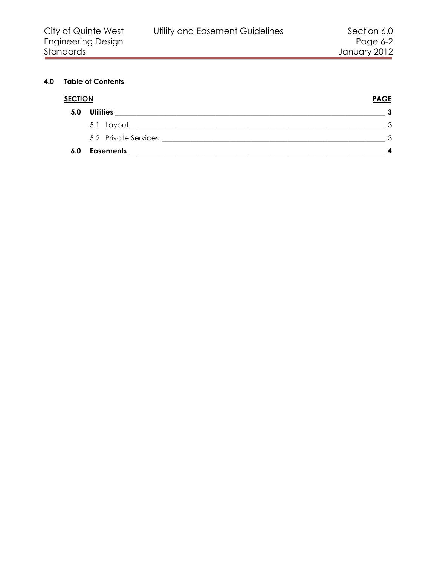# **4.0 Table of Contents**

| <b>SECTION</b> |                                                                                                                                          | <b>PAGE</b>  |
|----------------|------------------------------------------------------------------------------------------------------------------------------------------|--------------|
| 5.0            | <b>Utilities</b><br><u> 2001 - Maria Alemania, mpanda a mpanda a mpanda a mpanda a mpanda a mpanda a mpanda a mpanda a mpanda a mpan</u> |              |
|                |                                                                                                                                          |              |
|                |                                                                                                                                          | $\mathbf{r}$ |
| 6.0            | <b>Easements</b>                                                                                                                         |              |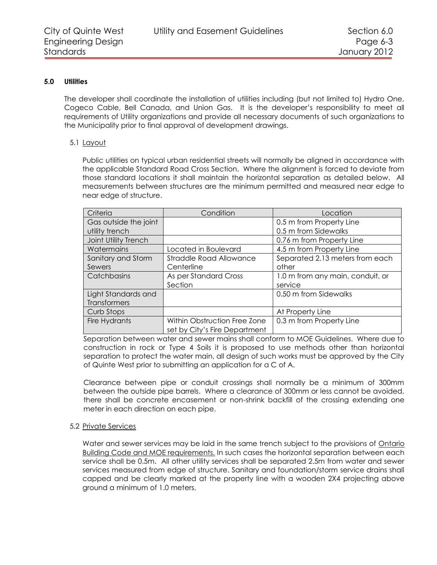#### **5.0 Utilities**

<span id="page-2-0"></span>The developer shall coordinate the installation of utilities including (but not limited to) Hydro One, Cogeco Cable, Bell Canada, and Union Gas. It is the developer's responsibility to meet all requirements of Utility organizations and provide all necessary documents of such organizations to the Municipality prior to final approval of development drawings.

#### <span id="page-2-1"></span>5.1 Layout

Public utilities on typical urban residential streets will normally be aligned in accordance with the applicable Standard Road Cross Section. Where the alignment is forced to deviate from those standard locations it shall maintain the horizontal separation as detailed below. All measurements between structures are the minimum permitted and measured near edge to near edge of structure.

| Criteria              | Condition                     | Location                         |
|-----------------------|-------------------------------|----------------------------------|
| Gas outside the joint |                               | 0.5 m from Property Line         |
| utility trench        |                               | 0.5 m from Sidewalks             |
| Joint Utility Trench  |                               | 0.76 m from Property Line        |
| Watermains            | Located in Boulevard          | 4.5 m from Property Line         |
| Sanitary and Storm    | Straddle Road Allowance       | Separated 2.13 meters from each  |
| Sewers                | Centerline                    | other                            |
| Catchbasins           | As per Standard Cross         | 1.0 m from any main, conduit, or |
|                       | Section                       | service                          |
| Light Standards and   |                               | 0.50 m from Sidewalks            |
| Transformers          |                               |                                  |
| Curb Stops            |                               | At Property Line                 |
| Fire Hydrants         | Within Obstruction Free Zone  | 0.3 m from Property Line         |
|                       | set by City's Fire Department |                                  |

Separation between water and sewer mains shall conform to MOE Guidelines. Where due to construction in rock or Type 4 Soils it is proposed to use methods other than horizontal separation to protect the water main, all design of such works must be approved by the City of Quinte West prior to submitting an application for a C of A.

Clearance between pipe or conduit crossings shall normally be a minimum of 300mm between the outside pipe barrels. Where a clearance of 300mm or less cannot be avoided, there shall be concrete encasement or non-shrink backfill of the crossing extending one meter in each direction on each pipe.

#### <span id="page-2-2"></span>5.2 Private Services

Water and sewer services may be laid in the same trench subject to the provisions of Ontario Building Code and MOE requirements. In such cases the horizontal separation between each service shall be 0.5m. All other utility services shall be separated 2.5m from water and sewer services measured from edge of structure. Sanitary and foundation/storm service drains shall capped and be clearly marked at the property line with a wooden 2X4 projecting above ground a minimum of 1.0 meters.